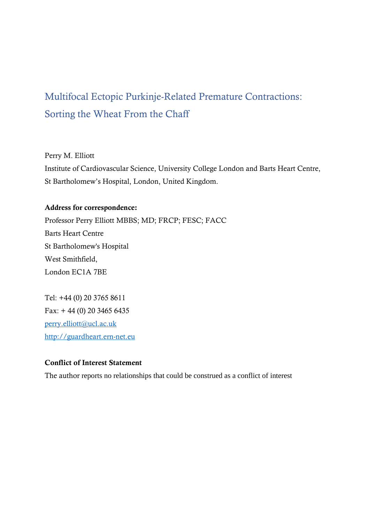## Multifocal Ectopic Purkinje-Related Premature Contractions: Sorting the Wheat From the Chaff

Perry M. Elliott

Institute of Cardiovascular Science, University College London and Barts Heart Centre, St Bartholomew's Hospital, London, United Kingdom.

## Address for correspondence:

Professor Perry Elliott MBBS; MD; FRCP; FESC; FACC Barts Heart Centre St Bartholomew's Hospital West Smithfield, London EC1A 7BE

Tel: +44 (0) 20 3765 8611 Fax: + 44 (0) 20 3465 6435 [perry.elliott@ucl.ac.uk](mailto:perry.elliott@ucl.ac.uk) [http://guardheart.ern-net.eu](http://guardheart.ern-net.eu/)

## Conflict of Interest Statement

The author reports no relationships that could be construed as a conflict of interest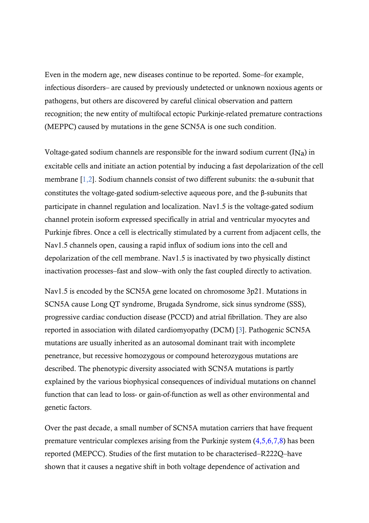Even in the modern age, new diseases continue to be reported. Some–for example, infectious disorders– are caused by previously undetected or unknown noxious agents or pathogens, but others are discovered by careful clinical observation and pattern recognition; the new entity of multifocal ectopic Purkinje-related premature contractions (MEPPC) caused by mutations in the gene SCN5A is one such condition.

Voltage-gated sodium channels are responsible for the inward sodium current  $(INa)$  in excitable cells and initiate an action potential by inducing a fast depolarization of the cell membrane  $[1,2]$ . Sodium channels consist of two different subunits: the  $\alpha$ -subunit that constitutes the voltage-gated sodium-selective aqueous pore, and the β-subunits that participate in channel regulation and localization. Nav1.5 is the voltage-gated sodium channel protein isoform expressed specifically in atrial and ventricular myocytes and Purkinje fibres. Once a cell is electrically stimulated by a current from adjacent cells, the Nav1.5 channels open, causing a rapid influx of sodium ions into the cell and depolarization of the cell membrane. Nav1.5 is inactivated by two physically distinct inactivation processes–fast and slow–with only the fast coupled directly to activation.

Nav1.5 is encoded by the SCN5A gene located on chromosome 3p21. Mutations in SCN5A cause Long QT syndrome, Brugada Syndrome, sick sinus syndrome (SSS), progressive cardiac conduction disease (PCCD) and atrial fibrillation. They are also reported in association with dilated cardiomyopathy (DCM) [3]. Pathogenic SCN5A mutations are usually inherited as an autosomal dominant trait with incomplete penetrance, but recessive homozygous or compound heterozygous mutations are described. The phenotypic diversity associated with SCN5A mutations is partly explained by the various biophysical consequences of individual mutations on channel function that can lead to loss- or gain-of-function as well as other environmental and genetic factors.

Over the past decade, a small number of SCN5A mutation carriers that have frequent premature ventricular complexes arising from the Purkinje system (4,5,6,7,8) has been reported (MEPCC). Studies of the first mutation to be characterised–R222Q–have shown that it causes a negative shift in both voltage dependence of activation and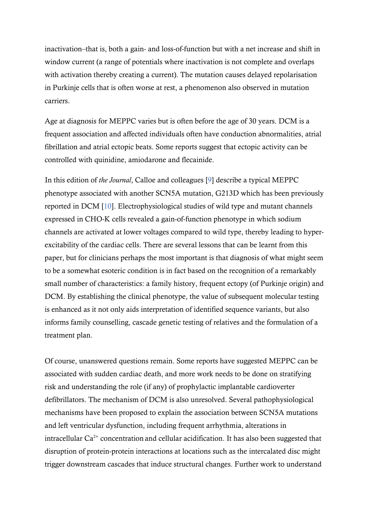inactivation–that is, both a gain- and loss-of-function but with a net increase and shift in window current (a range of potentials where inactivation is not complete and overlaps with activation thereby creating a current). The mutation causes delayed repolarisation in Purkinje cells that is often worse at rest, a phenomenon also observed in mutation carriers.

Age at diagnosis for MEPPC varies but is often before the age of 30 years. DCM is a frequent association and affected individuals often have conduction abnormalities, atrial fibrillation and atrial ectopic beats. Some reports suggest that ectopic activity can be controlled with quinidine, amiodarone and flecainide.

In this edition of *the Journal*, Calloe and colleagues [9] describe a typical MEPPC phenotype associated with another SCN5A mutation, G213D which has been previously reported in DCM [10]. Electrophysiological studies of wild type and mutant channels expressed in CHO-K cells revealed a gain-of-function phenotype in which sodium channels are activated at lower voltages compared to wild type, thereby leading to hyperexcitability of the cardiac cells. There are several lessons that can be learnt from this paper, but for clinicians perhaps the most important is that diagnosis of what might seem to be a somewhat esoteric condition is in fact based on the recognition of a remarkably small number of characteristics: a family history, frequent ectopy (of Purkinje origin) and DCM. By establishing the clinical phenotype, the value of subsequent molecular testing is enhanced as it not only aids interpretation of identified sequence variants, but also informs family counselling, cascade genetic testing of relatives and the formulation of a treatment plan.

Of course, unanswered questions remain. Some reports have suggested MEPPC can be associated with sudden cardiac death, and more work needs to be done on stratifying risk and understanding the role (if any) of prophylactic implantable cardioverter defibrillators. The mechanism of DCM is also unresolved. Several pathophysiological mechanisms have been proposed to explain the association between SCN5A mutations and left ventricular dysfunction, including frequent arrhythmia, alterations in intracellular  $Ca^{2+}$  concentration and cellular acidification. It has also been suggested that disruption of protein-protein interactions at locations such as the intercalated disc might trigger downstream cascades that induce structural changes. Further work to understand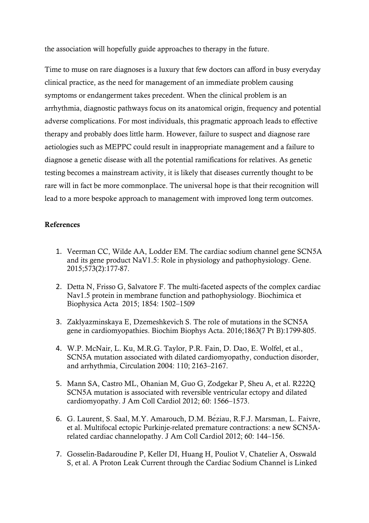the association will hopefully guide approaches to therapy in the future.

Time to muse on rare diagnoses is a luxury that few doctors can afford in busy everyday clinical practice, as the need for management of an immediate problem causing symptoms or endangerment takes precedent. When the clinical problem is an arrhythmia, diagnostic pathways focus on its anatomical origin, frequency and potential adverse complications. For most individuals, this pragmatic approach leads to effective therapy and probably does little harm. However, failure to suspect and diagnose rare aetiologies such as MEPPC could result in inappropriate management and a failure to diagnose a genetic disease with all the potential ramifications for relatives. As genetic testing becomes a mainstream activity, it is likely that diseases currently thought to be rare will in fact be more commonplace. The universal hope is that their recognition will lead to a more bespoke approach to management with improved long term outcomes.

## References

- 1. Veerman CC, Wilde AA, Lodder EM. The cardiac sodium channel gene SCN5A and its gene product NaV1.5: Role in physiology and pathophysiology. Gene. 2015;573(2):177-87.
- 2. Detta N, Frisso G, Salvatore F. The multi-faceted aspects of the complex cardiac Nav1.5 protein in membrane function and pathophysiology. Biochimica et Biophysica Acta 2015; 1854: 1502–1509
- 3. Zaklyazminskaya E, Dzemeshkevich S. The role of mutations in the SCN5A gene in cardiomyopathies. Biochim Biophys Acta. 2016;1863(7 Pt B):1799-805.
- 4. W.P. McNair, L. Ku, M.R.G. Taylor, P.R. Fain, D. Dao, E. Wolfel, et al., SCN5A mutation associated with dilated cardiomyopathy, conduction disorder, and arrhythmia, Circulation 2004: 110; 2163–2167.
- 5. Mann SA, Castro ML, Ohanian M, Guo G, Zodgekar P, Sheu A, et al. R222Q SCN5A mutation is associated with reversible ventricular ectopy and dilated cardiomyopathy. J Am Coll Cardiol 2012; 60: 1566–1573.
- 6. G. Laurent, S. Saal, M.Y. Amarouch, D.M. Béziau, R.F.J. Marsman, L. Faivre, et al. Multifocal ectopic Purkinje-related premature contractions: a new SCN5Arelated cardiac channelopathy. J Am Coll Cardiol 2012; 60: 144–156.
- 7. Gosselin-Badaroudine P, Keller DI, Huang H, Pouliot V, Chatelier A, Osswald S, et al. A Proton Leak Current through the Cardiac Sodium Channel is Linked